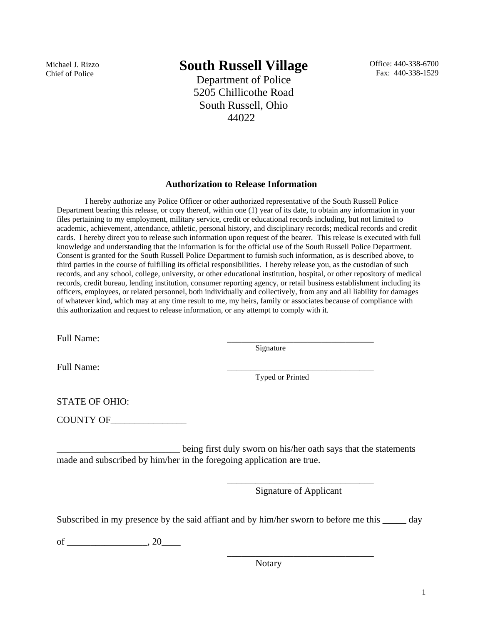Michael J. Rizzo Chief of Police

# **South Russell Village**

Department of Police 5205 Chillicothe Road South Russell, Ohio 44022

Office: 440-338-6700 Fax: 440-338-1529

#### **Authorization to Release Information**

I hereby authorize any Police Officer or other authorized representative of the South Russell Police Department bearing this release, or copy thereof, within one (1) year of its date, to obtain any information in your files pertaining to my employment, military service, credit or educational records including, but not limited to academic, achievement, attendance, athletic, personal history, and disciplinary records; medical records and credit cards. I hereby direct you to release such information upon request of the bearer. This release is executed with full knowledge and understanding that the information is for the official use of the South Russell Police Department. Consent is granted for the South Russell Police Department to furnish such information, as is described above, to third parties in the course of fulfilling its official responsibilities. I hereby release you, as the custodian of such records, and any school, college, university, or other educational institution, hospital, or other repository of medical records, credit bureau, lending institution, consumer reporting agency, or retail business establishment including its officers, employees, or related personnel, both individually and collectively, from any and all liability for damages of whatever kind, which may at any time result to me, my heirs, family or associates because of compliance with this authorization and request to release information, or any attempt to comply with it.

Full Name:

Signature

Full Name:

Typed or Printed

STATE OF OHIO:

COUNTY OF\_\_\_\_\_\_\_\_\_\_\_\_\_\_\_\_

being first duly sworn on his/her oath says that the statements made and subscribed by him/her in the foregoing application are true.

 $\overline{\phantom{a}}$  , and the contract of the contract of the contract of the contract of the contract of the contract of the contract of the contract of the contract of the contract of the contract of the contract of the contrac

 $\overline{\phantom{a}}$  , and the contract of the contract of the contract of the contract of the contract of the contract of the contract of the contract of the contract of the contract of the contract of the contract of the contrac

Signature of Applicant

Subscribed in my presence by the said affiant and by him/her sworn to before me this \_\_\_\_\_ day

of \_\_\_\_\_\_\_\_\_\_\_\_\_\_\_\_\_, 20\_\_\_\_

Notary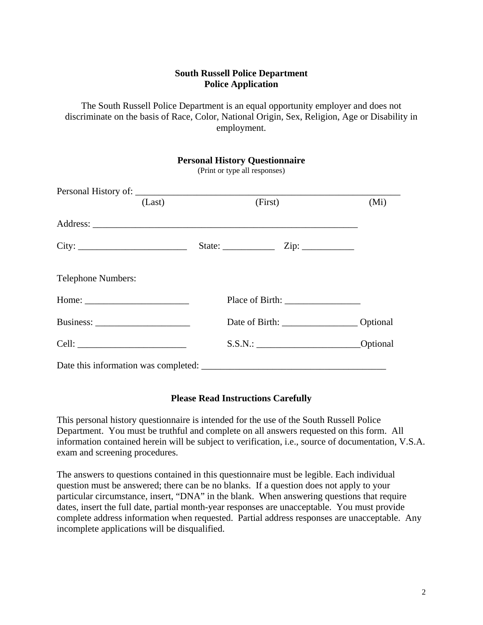#### **South Russell Police Department Police Application**

The South Russell Police Department is an equal opportunity employer and does not discriminate on the basis of Race, Color, National Origin, Sex, Religion, Age or Disability in employment.

| <b>Personal History Questionnaire</b><br>(Print or type all responses)                                                                                                                                                         |        |  |         |                                                                                                                                                                                                                                                                                                                                                                                                                                          |                 |
|--------------------------------------------------------------------------------------------------------------------------------------------------------------------------------------------------------------------------------|--------|--|---------|------------------------------------------------------------------------------------------------------------------------------------------------------------------------------------------------------------------------------------------------------------------------------------------------------------------------------------------------------------------------------------------------------------------------------------------|-----------------|
|                                                                                                                                                                                                                                | (Last) |  | (First) |                                                                                                                                                                                                                                                                                                                                                                                                                                          | (Mi)            |
|                                                                                                                                                                                                                                |        |  |         |                                                                                                                                                                                                                                                                                                                                                                                                                                          |                 |
| City:                                                                                                                                                                                                                          |        |  |         |                                                                                                                                                                                                                                                                                                                                                                                                                                          |                 |
| <b>Telephone Numbers:</b>                                                                                                                                                                                                      |        |  |         |                                                                                                                                                                                                                                                                                                                                                                                                                                          |                 |
|                                                                                                                                                                                                                                |        |  |         | Place of Birth: $\frac{1}{\frac{1}{2} \cdot \frac{1}{2} \cdot \frac{1}{2} \cdot \frac{1}{2} \cdot \frac{1}{2} \cdot \frac{1}{2} \cdot \frac{1}{2} \cdot \frac{1}{2} \cdot \frac{1}{2} \cdot \frac{1}{2} \cdot \frac{1}{2} \cdot \frac{1}{2} \cdot \frac{1}{2} \cdot \frac{1}{2} \cdot \frac{1}{2} \cdot \frac{1}{2} \cdot \frac{1}{2} \cdot \frac{1}{2} \cdot \frac{1}{2} \cdot \frac{1}{2} \cdot \frac{1}{2} \cdot \frac{1}{2} \cdot \$ |                 |
| Business: $\frac{1}{1}$                                                                                                                                                                                                        |        |  |         |                                                                                                                                                                                                                                                                                                                                                                                                                                          |                 |
| Cell: The contract of the contract of the contract of the contract of the contract of the contract of the contract of the contract of the contract of the contract of the contract of the contract of the contract of the cont |        |  |         | S.S.N.:                                                                                                                                                                                                                                                                                                                                                                                                                                  | <b>Optional</b> |
|                                                                                                                                                                                                                                |        |  |         |                                                                                                                                                                                                                                                                                                                                                                                                                                          |                 |

#### **Please Read Instructions Carefully**

This personal history questionnaire is intended for the use of the South Russell Police Department. You must be truthful and complete on all answers requested on this form. All information contained herein will be subject to verification, i.e., source of documentation, V.S.A. exam and screening procedures.

The answers to questions contained in this questionnaire must be legible. Each individual question must be answered; there can be no blanks. If a question does not apply to your particular circumstance, insert, "DNA" in the blank. When answering questions that require dates, insert the full date, partial month-year responses are unacceptable. You must provide complete address information when requested. Partial address responses are unacceptable. Any incomplete applications will be disqualified.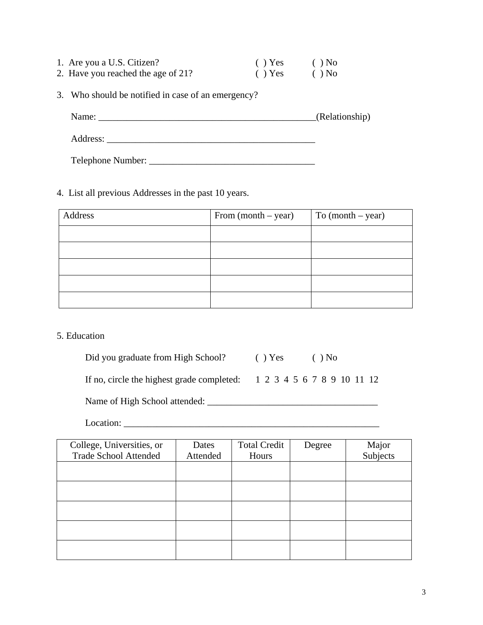| 1. Are you a U.S. Citizen?         | $( )$ Yes | $()$ No |
|------------------------------------|-----------|---------|
| 2. Have you reached the age of 21? | $( )$ Yes | $()$ No |

Telephone Number: \_\_\_\_\_\_\_\_\_\_\_\_\_\_\_\_\_\_\_\_\_\_\_\_\_\_\_\_\_\_\_\_\_\_\_

3. Who should be notified in case of an emergency?

| Name:    | (Relationship) |
|----------|----------------|
| Address: |                |

# 4. List all previous Addresses in the past 10 years.

| Address | From $(month - year)$ | To $(month - year)$ |
|---------|-----------------------|---------------------|
|         |                       |                     |
|         |                       |                     |
|         |                       |                     |
|         |                       |                     |
|         |                       |                     |

#### 5. Education

Did you graduate from High School? ( ) Yes ( ) No

If no, circle the highest grade completed: 1 2 3 4 5 6 7 8 9 10 11 12

Name of High School attended: \_\_\_\_\_\_\_\_\_\_\_\_\_\_\_\_\_\_\_\_\_\_\_\_\_\_\_\_\_\_\_\_\_\_\_\_

Location: \_\_\_\_\_\_\_\_\_\_\_\_\_\_\_\_\_\_\_\_\_\_\_\_\_\_\_\_\_\_\_\_\_\_\_\_\_\_\_\_\_\_\_\_\_\_\_\_\_\_\_\_\_\_

| College, Universities, or<br><b>Trade School Attended</b> | Dates<br>Attended | <b>Total Credit</b><br>Hours | Degree | Major<br>Subjects |
|-----------------------------------------------------------|-------------------|------------------------------|--------|-------------------|
|                                                           |                   |                              |        |                   |
|                                                           |                   |                              |        |                   |
|                                                           |                   |                              |        |                   |
|                                                           |                   |                              |        |                   |
|                                                           |                   |                              |        |                   |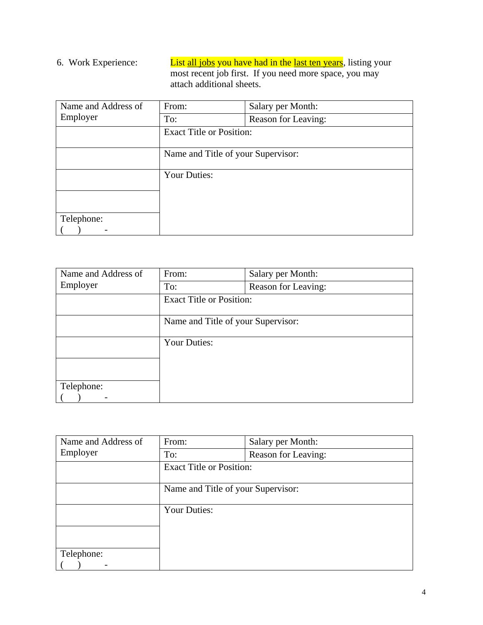# 6. Work Experience: List all jobs you have had in the last ten years, listing your most recent job first. If you need more space, you may attach additional sheets.

| Name and Address of | From:                              | Salary per Month:   |
|---------------------|------------------------------------|---------------------|
| Employer            | To:                                | Reason for Leaving: |
|                     | <b>Exact Title or Position:</b>    |                     |
|                     | Name and Title of your Supervisor: |                     |
|                     | <b>Your Duties:</b>                |                     |
|                     |                                    |                     |
|                     |                                    |                     |
| Telephone:          |                                    |                     |
|                     |                                    |                     |

| Name and Address of | From:                              | Salary per Month:   |
|---------------------|------------------------------------|---------------------|
| Employer            | To:                                | Reason for Leaving: |
|                     | <b>Exact Title or Position:</b>    |                     |
|                     | Name and Title of your Supervisor: |                     |
|                     | <b>Your Duties:</b>                |                     |
|                     |                                    |                     |
|                     |                                    |                     |
| Telephone:          |                                    |                     |
|                     |                                    |                     |

| Name and Address of | From:                              | Salary per Month:   |
|---------------------|------------------------------------|---------------------|
| Employer            | To:                                | Reason for Leaving: |
|                     | <b>Exact Title or Position:</b>    |                     |
|                     | Name and Title of your Supervisor: |                     |
|                     | <b>Your Duties:</b>                |                     |
|                     |                                    |                     |
|                     |                                    |                     |
| Telephone:          |                                    |                     |
|                     |                                    |                     |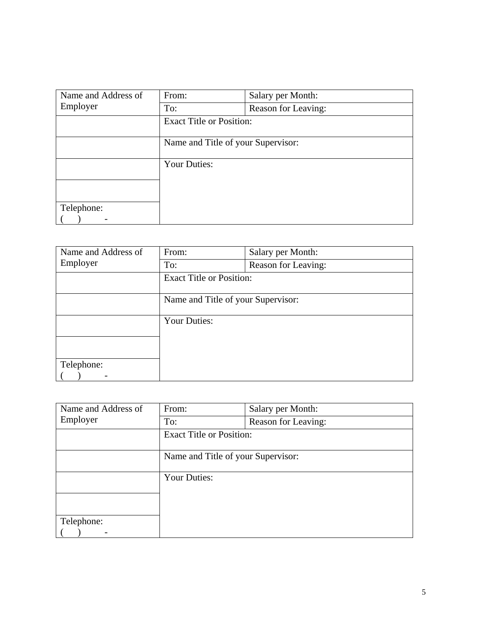| Name and Address of | From:                              | Salary per Month:   |
|---------------------|------------------------------------|---------------------|
| Employer            | To:                                | Reason for Leaving: |
|                     | <b>Exact Title or Position:</b>    |                     |
|                     | Name and Title of your Supervisor: |                     |
|                     | <b>Your Duties:</b>                |                     |
|                     |                                    |                     |
|                     |                                    |                     |
| Telephone:          |                                    |                     |
|                     |                                    |                     |

| Name and Address of | From:                              | Salary per Month:   |
|---------------------|------------------------------------|---------------------|
| Employer            | To:                                | Reason for Leaving: |
|                     | <b>Exact Title or Position:</b>    |                     |
|                     | Name and Title of your Supervisor: |                     |
|                     | <b>Your Duties:</b>                |                     |
|                     |                                    |                     |
| Telephone:          |                                    |                     |
|                     |                                    |                     |

| Name and Address of | From:                              | Salary per Month:   |
|---------------------|------------------------------------|---------------------|
| Employer            | To:                                | Reason for Leaving: |
|                     | <b>Exact Title or Position:</b>    |                     |
|                     | Name and Title of your Supervisor: |                     |
|                     | <b>Your Duties:</b>                |                     |
|                     |                                    |                     |
|                     |                                    |                     |
| Telephone:          |                                    |                     |
|                     |                                    |                     |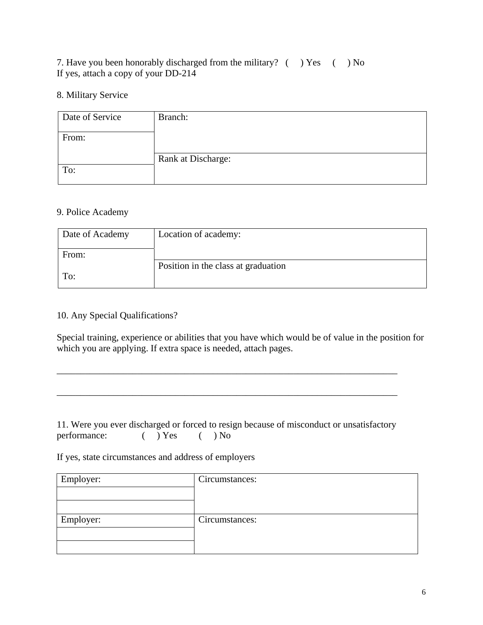# 7. Have you been honorably discharged from the military? ( ) Yes ( ) No If yes, attach a copy of your DD-214

#### 8. Military Service

| Date of Service | Branch:            |
|-----------------|--------------------|
| From:           |                    |
|                 | Rank at Discharge: |
| To:             |                    |

## 9. Police Academy

| Date of Academy | Location of academy:                |
|-----------------|-------------------------------------|
| From:           |                                     |
|                 | Position in the class at graduation |
| To:             |                                     |

## 10. Any Special Qualifications?

Special training, experience or abilities that you have which would be of value in the position for which you are applying. If extra space is needed, attach pages.

# 11. Were you ever discharged or forced to resign because of misconduct or unsatisfactory performance:  $( )$  Yes  $( )$  No

\_\_\_\_\_\_\_\_\_\_\_\_\_\_\_\_\_\_\_\_\_\_\_\_\_\_\_\_\_\_\_\_\_\_\_\_\_\_\_\_\_\_\_\_\_\_\_\_\_\_\_\_\_\_\_\_\_\_\_\_\_\_\_\_\_\_\_\_\_\_\_\_

\_\_\_\_\_\_\_\_\_\_\_\_\_\_\_\_\_\_\_\_\_\_\_\_\_\_\_\_\_\_\_\_\_\_\_\_\_\_\_\_\_\_\_\_\_\_\_\_\_\_\_\_\_\_\_\_\_\_\_\_\_\_\_\_\_\_\_\_\_\_\_\_

If yes, state circumstances and address of employers

| Employer: | Circumstances: |
|-----------|----------------|
| Employer: | Circumstances: |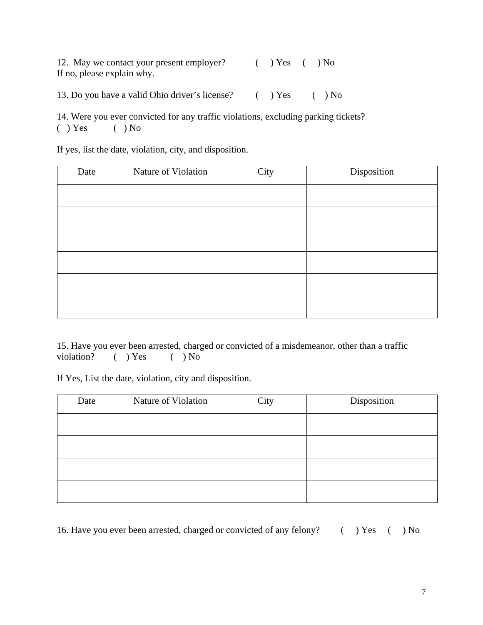12. May we contact your present employer? ( ) Yes ( ) No If no, please explain why.

13. Do you have a valid Ohio driver's license? ( ) Yes ( ) No

14. Were you ever convicted for any traffic violations, excluding parking tickets?  $( )$  Yes  $( )$  No

If yes, list the date, violation, city, and disposition.

| Date | Nature of Violation | City | Disposition |  |
|------|---------------------|------|-------------|--|
|      |                     |      |             |  |
|      |                     |      |             |  |
|      |                     |      |             |  |
|      |                     |      |             |  |
|      |                     |      |             |  |
|      |                     |      |             |  |

15. Have you ever been arrested, charged or convicted of a misdemeanor, other than a traffic violation? ( ) Yes ( ) No

If Yes, List the date, violation, city and disposition.

| Date | Nature of Violation | City | Disposition |
|------|---------------------|------|-------------|
|      |                     |      |             |
|      |                     |      |             |
|      |                     |      |             |
|      |                     |      |             |

16. Have you ever been arrested, charged or convicted of any felony? ( ) Yes ( ) No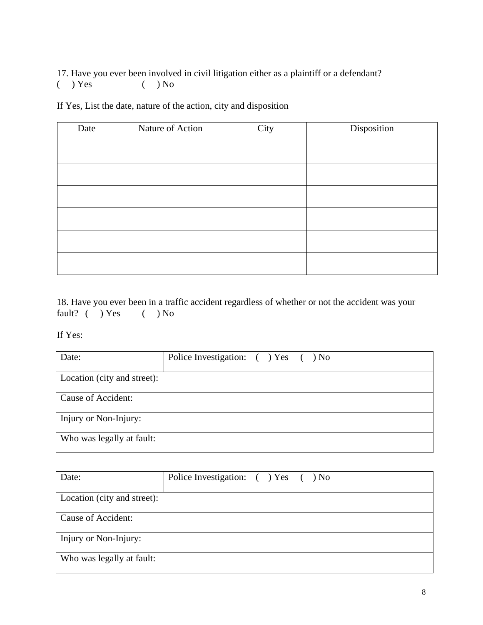17. Have you ever been involved in civil litigation either as a plaintiff or a defendant?  $( )$  Yes  $( )$  No

If Yes, List the date, nature of the action, city and disposition

| Date | Nature of Action | City | Disposition |  |
|------|------------------|------|-------------|--|
|      |                  |      |             |  |
|      |                  |      |             |  |
|      |                  |      |             |  |
|      |                  |      |             |  |
|      |                  |      |             |  |
|      |                  |      |             |  |

18. Have you ever been in a traffic accident regardless of whether or not the accident was your fault? ( ) Yes ( ) No

If Yes:

| Date:                       | Police Investigation: () Yes () No |
|-----------------------------|------------------------------------|
| Location (city and street): |                                    |
| Cause of Accident:          |                                    |
| Injury or Non-Injury:       |                                    |
| Who was legally at fault:   |                                    |

| Date:                       | Police Investigation: () Yes () No |
|-----------------------------|------------------------------------|
| Location (city and street): |                                    |
| Cause of Accident:          |                                    |
| Injury or Non-Injury:       |                                    |
| Who was legally at fault:   |                                    |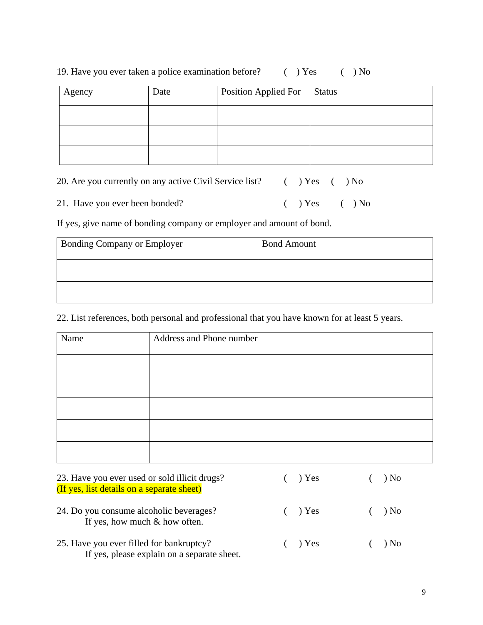|  | 19. Have you ever taken a police examination before? |  |  |  | $( )$ Yes | $( )$ No |
|--|------------------------------------------------------|--|--|--|-----------|----------|
|  |                                                      |  |  |  |           |          |

| Agency | Date | <b>Position Applied For</b> | <b>Status</b> |
|--------|------|-----------------------------|---------------|
|        |      |                             |               |
|        |      |                             |               |
|        |      |                             |               |

| 20. Are you currently on any active Civil Service list?<br>$( )$ Yes $( )$ No |
|-------------------------------------------------------------------------------|
|-------------------------------------------------------------------------------|

21. Have you ever been bonded? ( ) Yes ( ) No

If yes, give name of bonding company or employer and amount of bond.

| <b>Bonding Company or Employer</b> | <b>Bond Amount</b> |
|------------------------------------|--------------------|
|                                    |                    |
|                                    |                    |

22. List references, both personal and professional that you have known for at least 5 years.

| Name | Address and Phone number |
|------|--------------------------|
|      |                          |
|      |                          |
|      |                          |
|      |                          |
|      |                          |

| 23. Have you ever used or sold illicit drugs?<br>(If yes, list details on a separate sheet) | $($ $)$ Yes | ) No       |
|---------------------------------------------------------------------------------------------|-------------|------------|
| 24. Do you consume alcoholic beverages?<br>If yes, how much $&$ how often.                  | $($ $)$ Yes | $($ $)$ No |
| 25. Have you ever filled for bankruptcy?<br>If yes, please explain on a separate sheet.     | $($ $)$ Yes | $($ $)$ No |